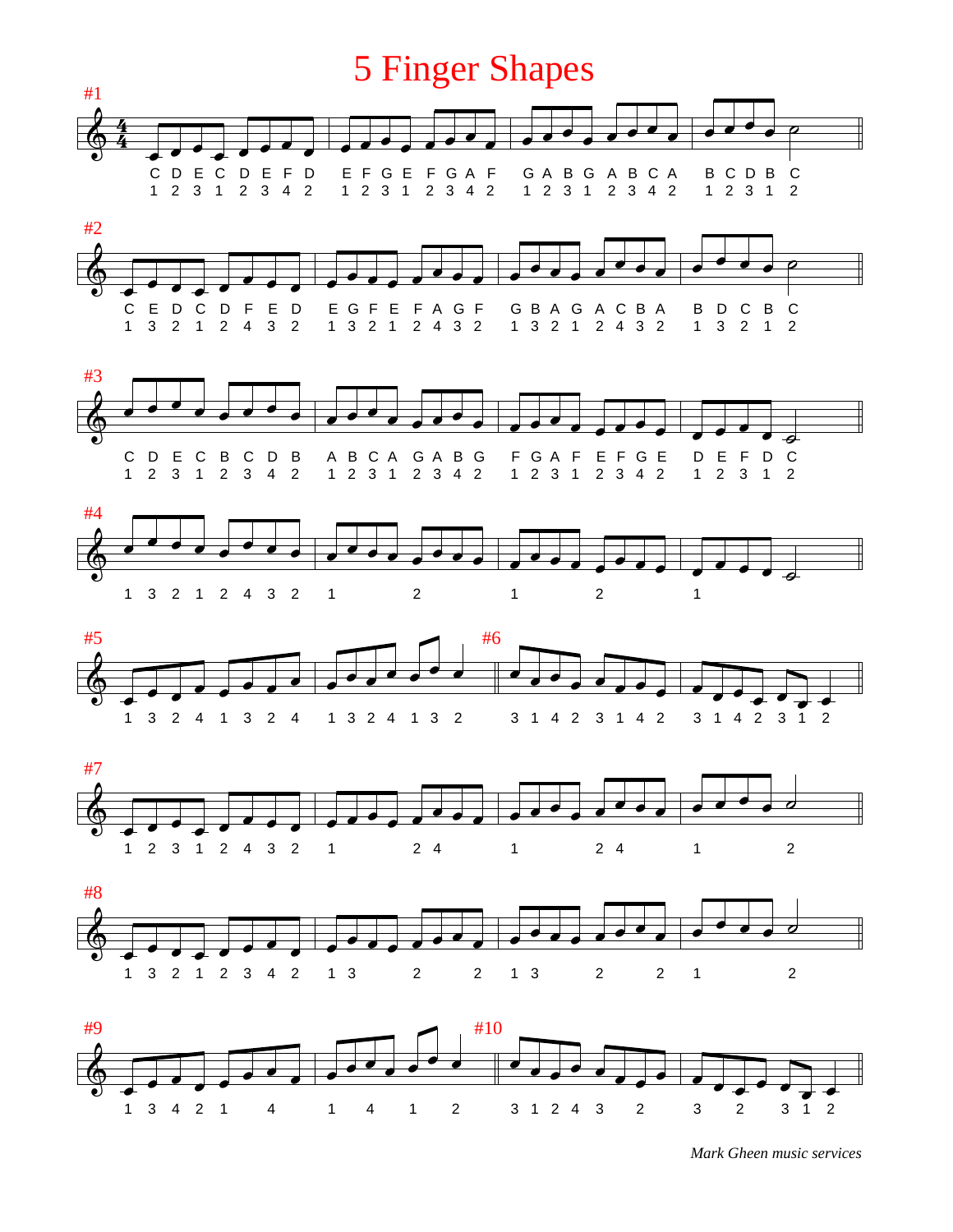## 5 Finger Shapes

















*Mark Gheen music services*